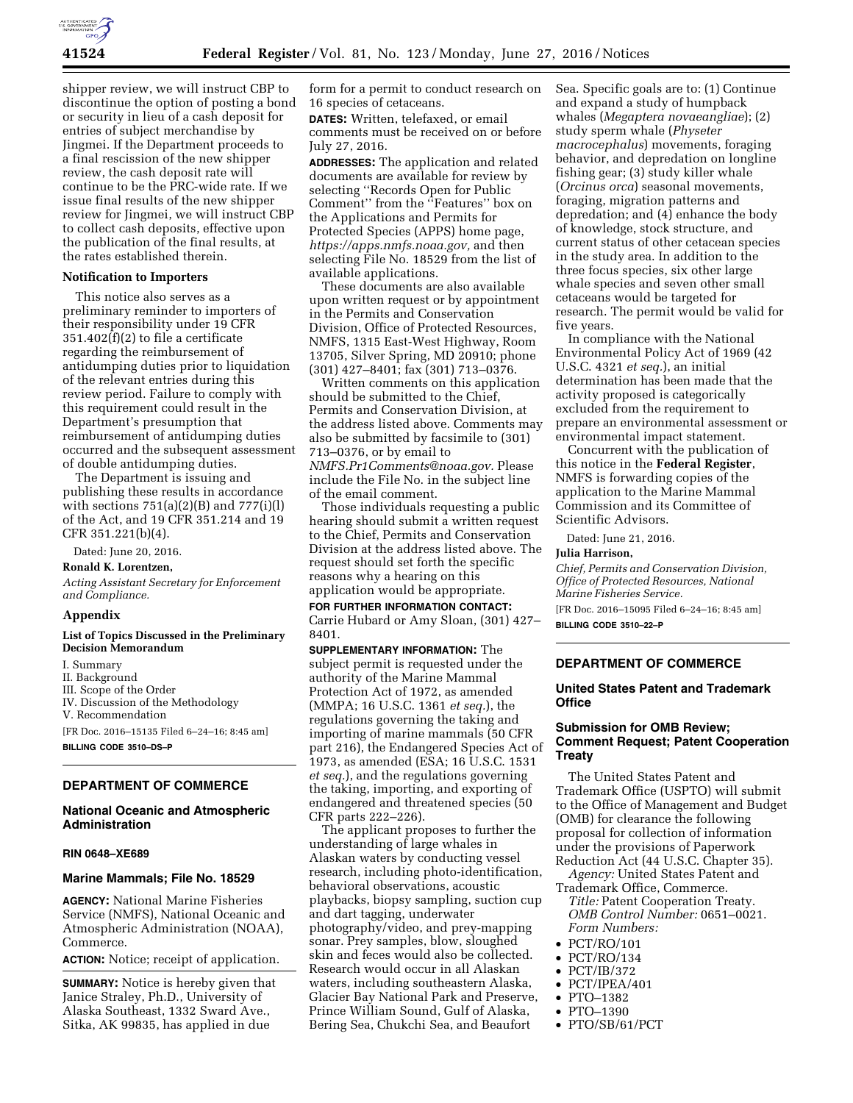

shipper review, we will instruct CBP to discontinue the option of posting a bond or security in lieu of a cash deposit for entries of subject merchandise by Jingmei. If the Department proceeds to a final rescission of the new shipper review, the cash deposit rate will continue to be the PRC-wide rate. If we issue final results of the new shipper review for Jingmei, we will instruct CBP to collect cash deposits, effective upon the publication of the final results, at the rates established therein.

## **Notification to Importers**

This notice also serves as a preliminary reminder to importers of their responsibility under 19 CFR 351.402(f)(2) to file a certificate regarding the reimbursement of antidumping duties prior to liquidation of the relevant entries during this review period. Failure to comply with this requirement could result in the Department's presumption that reimbursement of antidumping duties occurred and the subsequent assessment of double antidumping duties.

The Department is issuing and publishing these results in accordance with sections  $751(a)(2)(B)$  and  $777(i)(1)$ of the Act, and 19 CFR 351.214 and 19 CFR 351.221(b)(4).

Dated: June 20, 2016.

**Ronald K. Lorentzen,** 

*Acting Assistant Secretary for Enforcement and Compliance.* 

### **Appendix**

### **List of Topics Discussed in the Preliminary Decision Memorandum**

- I. Summary
- II. Background
- III. Scope of the Order
- IV. Discussion of the Methodology V. Recommendation

[FR Doc. 2016–15135 Filed 6–24–16; 8:45 am] **BILLING CODE 3510–DS–P** 

### **DEPARTMENT OF COMMERCE**

# **National Oceanic and Atmospheric Administration**

### **RIN 0648–XE689**

## **Marine Mammals; File No. 18529**

**AGENCY:** National Marine Fisheries Service (NMFS), National Oceanic and Atmospheric Administration (NOAA), Commerce.

**ACTION:** Notice; receipt of application.

**SUMMARY:** Notice is hereby given that Janice Straley, Ph.D., University of Alaska Southeast, 1332 Sward Ave., Sitka, AK 99835, has applied in due

form for a permit to conduct research on 16 species of cetaceans.

**DATES:** Written, telefaxed, or email comments must be received on or before July 27, 2016.

**ADDRESSES:** The application and related documents are available for review by selecting ''Records Open for Public Comment'' from the ''Features'' box on the Applications and Permits for Protected Species (APPS) home page, *[https://apps.nmfs.noaa.gov,](https://apps.nmfs.noaa.gov)* and then selecting File No. 18529 from the list of available applications.

These documents are also available upon written request or by appointment in the Permits and Conservation Division, Office of Protected Resources, NMFS, 1315 East-West Highway, Room 13705, Silver Spring, MD 20910; phone (301) 427–8401; fax (301) 713–0376.

Written comments on this application should be submitted to the Chief, Permits and Conservation Division, at the address listed above. Comments may also be submitted by facsimile to (301) 713–0376, or by email to *[NMFS.Pr1Comments@noaa.gov.](mailto:NMFS.Pr1Comments@noaa.gov)* Please include the File No. in the subject line of the email comment.

Those individuals requesting a public hearing should submit a written request to the Chief, Permits and Conservation Division at the address listed above. The request should set forth the specific reasons why a hearing on this application would be appropriate.

**FOR FURTHER INFORMATION CONTACT:**  Carrie Hubard or Amy Sloan, (301) 427– 8401.

**SUPPLEMENTARY INFORMATION:** The subject permit is requested under the authority of the Marine Mammal Protection Act of 1972, as amended (MMPA; 16 U.S.C. 1361 *et seq.*), the regulations governing the taking and importing of marine mammals (50 CFR part 216), the Endangered Species Act of 1973, as amended (ESA; 16 U.S.C. 1531 *et seq.*), and the regulations governing the taking, importing, and exporting of endangered and threatened species (50 CFR parts 222–226).

The applicant proposes to further the understanding of large whales in Alaskan waters by conducting vessel research, including photo-identification, behavioral observations, acoustic playbacks, biopsy sampling, suction cup and dart tagging, underwater photography/video, and prey-mapping sonar. Prey samples, blow, sloughed skin and feces would also be collected. Research would occur in all Alaskan waters, including southeastern Alaska, Glacier Bay National Park and Preserve, Prince William Sound, Gulf of Alaska, Bering Sea, Chukchi Sea, and Beaufort

Sea. Specific goals are to: (1) Continue and expand a study of humpback whales (*Megaptera novaeangliae*); (2) study sperm whale (*Physeter macrocephalus*) movements, foraging behavior, and depredation on longline fishing gear; (3) study killer whale (*Orcinus orca*) seasonal movements, foraging, migration patterns and depredation; and (4) enhance the body of knowledge, stock structure, and current status of other cetacean species in the study area. In addition to the three focus species, six other large whale species and seven other small cetaceans would be targeted for research. The permit would be valid for five years.

In compliance with the National Environmental Policy Act of 1969 (42 U.S.C. 4321 *et seq.*), an initial determination has been made that the activity proposed is categorically excluded from the requirement to prepare an environmental assessment or environmental impact statement.

Concurrent with the publication of this notice in the **Federal Register**, NMFS is forwarding copies of the application to the Marine Mammal Commission and its Committee of Scientific Advisors.

Dated: June 21, 2016.

#### **Julia Harrison,**

*Chief, Permits and Conservation Division, Office of Protected Resources, National Marine Fisheries Service.* 

[FR Doc. 2016–15095 Filed 6–24–16; 8:45 am] **BILLING CODE 3510–22–P** 

# **DEPARTMENT OF COMMERCE**

# **United States Patent and Trademark Office**

# **Submission for OMB Review; Comment Request; Patent Cooperation Treaty**

The United States Patent and Trademark Office (USPTO) will submit to the Office of Management and Budget (OMB) for clearance the following proposal for collection of information under the provisions of Paperwork Reduction Act (44 U.S.C. Chapter 35).

*Agency:* United States Patent and Trademark Office, Commerce. *Title:* Patent Cooperation Treaty.

*OMB Control Number:* 0651–0021. *Form Numbers:* 

- PCT/RO/101
- PCT/RO/134
- PCT/IB/372
- PCT/IPEA/401
- PTO–1382
- PTO–1390
- PTO/SB/61/PCT